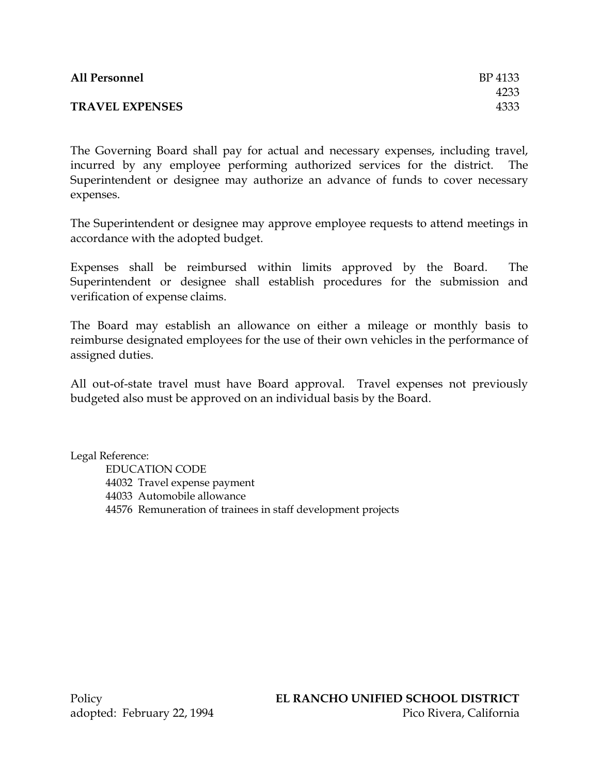| <b>All Personnel</b>   | BP 4133 |
|------------------------|---------|
|                        | 4233    |
| <b>TRAVEL EXPENSES</b> | 4333    |

The Governing Board shall pay for actual and necessary expenses, including travel, incurred by any employee performing authorized services for the district. The Superintendent or designee may authorize an advance of funds to cover necessary expenses.

The Superintendent or designee may approve employee requests to attend meetings in accordance with the adopted budget.

Expenses shall be reimbursed within limits approved by the Board. The Superintendent or designee shall establish procedures for the submission and verification of expense claims.

The Board may establish an allowance on either a mileage or monthly basis to reimburse designated employees for the use of their own vehicles in the performance of assigned duties.

All out-of-state travel must have Board approval. Travel expenses not previously budgeted also must be approved on an individual basis by the Board.

Legal Reference: EDUCATION CODE 44032 Travel expense payment 44033 Automobile allowance 44576 Remuneration of trainees in staff development projects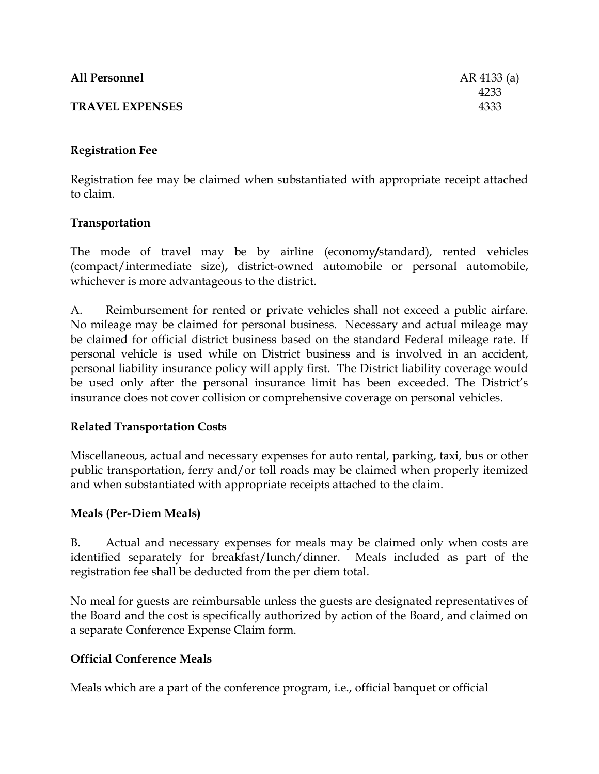| <b>All Personnel</b>   | AR 4133 (a) |
|------------------------|-------------|
|                        | 4233        |
| <b>TRAVEL EXPENSES</b> | 4333        |
|                        |             |

## **Registration Fee**

Registration fee may be claimed when substantiated with appropriate receipt attached to claim.

### **Transportation**

The mode of travel may be by airline (economy**/**standard), rented vehicles (compact/intermediate size)**,** district-owned automobile or personal automobile, whichever is more advantageous to the district.

A. Reimbursement for rented or private vehicles shall not exceed a public airfare. No mileage may be claimed for personal business. Necessary and actual mileage may be claimed for official district business based on the standard Federal mileage rate. If personal vehicle is used while on District business and is involved in an accident, personal liability insurance policy will apply first. The District liability coverage would be used only after the personal insurance limit has been exceeded. The District's insurance does not cover collision or comprehensive coverage on personal vehicles.

### **Related Transportation Costs**

Miscellaneous, actual and necessary expenses for auto rental, parking, taxi, bus or other public transportation, ferry and/or toll roads may be claimed when properly itemized and when substantiated with appropriate receipts attached to the claim.

# **Meals (Per-Diem Meals)**

B. Actual and necessary expenses for meals may be claimed only when costs are identified separately for breakfast/lunch/dinner. Meals included as part of the registration fee shall be deducted from the per diem total.

No meal for guests are reimbursable unless the guests are designated representatives of the Board and the cost is specifically authorized by action of the Board, and claimed on a separate Conference Expense Claim form.

# **Official Conference Meals**

Meals which are a part of the conference program, i.e., official banquet or official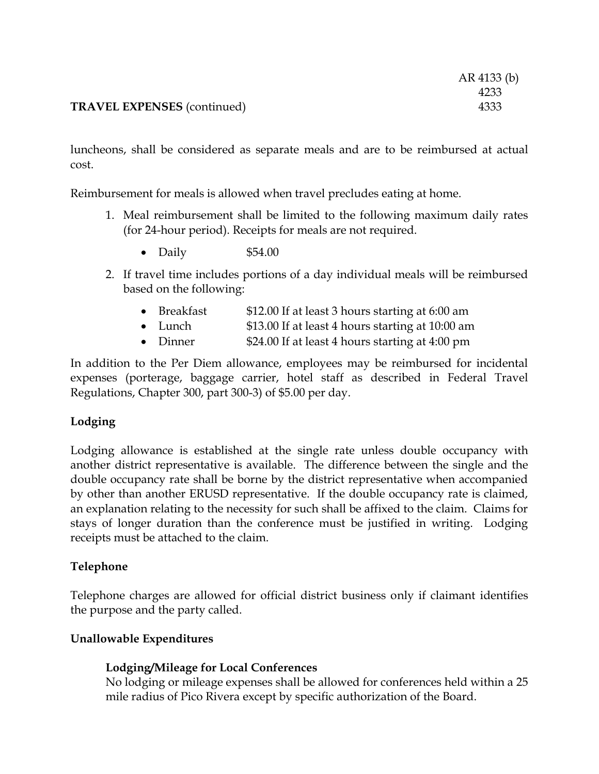|                                    | AR 4133 (b) |
|------------------------------------|-------------|
|                                    | 4233        |
| <b>TRAVEL EXPENSES</b> (continued) | 4333        |

luncheons, shall be considered as separate meals and are to be reimbursed at actual cost.

Reimbursement for meals is allowed when travel precludes eating at home.

- 1. Meal reimbursement shall be limited to the following maximum daily rates (for 24-hour period). Receipts for meals are not required.
	- Daily \$54.00
- 2. If travel time includes portions of a day individual meals will be reimbursed based on the following:
	- Breakfast \$12.00 If at least 3 hours starting at 6:00 am
	- Lunch \$13.00 If at least 4 hours starting at 10:00 am
	- Dinner \$24.00 If at least 4 hours starting at 4:00 pm

In addition to the Per Diem allowance, employees may be reimbursed for incidental expenses (porterage, baggage carrier, hotel staff as described in Federal Travel Regulations, Chapter 300, part 300-3) of \$5.00 per day.

# **Lodging**

Lodging allowance is established at the single rate unless double occupancy with another district representative is available. The difference between the single and the double occupancy rate shall be borne by the district representative when accompanied by other than another ERUSD representative. If the double occupancy rate is claimed, an explanation relating to the necessity for such shall be affixed to the claim. Claims for stays of longer duration than the conference must be justified in writing. Lodging receipts must be attached to the claim.

### **Telephone**

Telephone charges are allowed for official district business only if claimant identifies the purpose and the party called.

### **Unallowable Expenditures**

# **Lodging/Mileage for Local Conferences**

No lodging or mileage expenses shall be allowed for conferences held within a 25 mile radius of Pico Rivera except by specific authorization of the Board.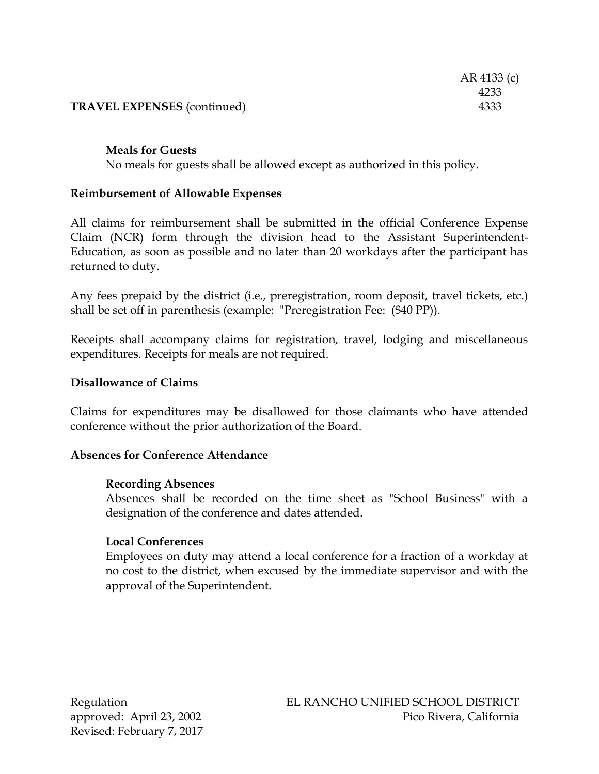### **TRAVEL EXPENSES** (continued) 4333

#### **Meals for Guests**

No meals for guests shall be allowed except as authorized in this policy.

### **Reimbursement of Allowable Expenses**

All claims for reimbursement shall be submitted in the official Conference Expense Claim (NCR) form through the division head to the Assistant Superintendent-Education, as soon as possible and no later than 20 workdays after the participant has returned to duty.

Any fees prepaid by the district (i.e., preregistration, room deposit, travel tickets, etc.) shall be set off in parenthesis (example: "Preregistration Fee: (\$40 PP)).

Receipts shall accompany claims for registration, travel, lodging and miscellaneous expenditures. Receipts for meals are not required.

#### **Disallowance of Claims**

Claims for expenditures may be disallowed for those claimants who have attended conference without the prior authorization of the Board.

#### **Absences for Conference Attendance**

#### **Recording Absences**

Absences shall be recorded on the time sheet as "School Business" with a designation of the conference and dates attended.

#### **Local Conferences**

Employees on duty may attend a local conference for a fraction of a workday at no cost to the district, when excused by the immediate supervisor and with the approval of the Superintendent.